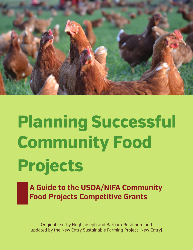

# **Planning Successful Community Food Projects**

**A Guide to the USDA/NIFA Community Food Projects Competitive Grants** 

Original text by Hugh Joseph and Barbara Rushmore and updated by the New Entry Sustainable Farming Project (New Entry)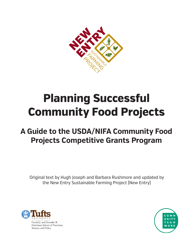

## **Planning Successful Community Food Projects**

### **A Guide to the USDA/NIFA Community Food Projects Competitive Grants Program**

Original text by Hugh Joseph and Barbara Rushmore and updated by the New Entry Sustainable Farming Project (New Entry)



Gerald J. and Dorothy R. Friedman School of Nutrition Science and Policy

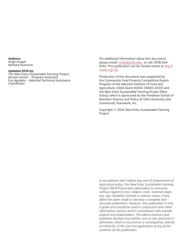#### **Authors:**

Hugh Joseph Barbara Rusmore

#### **Updated 2014 by:**

The New Entry Sustainable Farming Project, Kirsten Archer – Program Associate Eva Agudelo – National Technical Assistance Coordinator

For additional information about this document, please email: nesfp@tufs.edu , or call: (978) 654- 6745. This publication can be viewed online at http:// nesfp.org/cfp.

Production of this document was supported by the Community Food Projects Competitive Grants Program of the National Institute of Food and Agriculture, USDA Grant #2014-33800-22325 and the New Entry Sustainable Farming Project (New Entry), which is sponsored by the Friedman School of Nutrition Science and Policy at Tufts University and Community Teamwork, Inc.

Copyright © 2014, New Entry Sustainable Farming Project

*In accordance with Federal law and US Department of Agriculture policy, the New Entry Sustainable Farming Project (NESFP) provides information to everyone, without regard to race, religion, color, national origin, sex, age, disability, familial or veteran status. Every efort has been made to develop a complete and accurate publication. However, this publication is only a guide and should be used in conjunction with other information sources and in consultation with outside experts and stakeholders. The editors/authors and publisher disclaim any liability, loss or risk, personal or otherwise, which is incurred as a consequence, directly or indirectly, of the use and application of any of the contents of this publication.*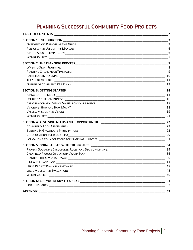### **PLANNING SUCCESSFUL COMMUNITY FOOD PROJECTS**

|                                         | $\frac{2}{\sqrt{2}}$ |
|-----------------------------------------|----------------------|
|                                         |                      |
|                                         | $\mathbf{3}$         |
|                                         |                      |
|                                         |                      |
|                                         | $\overline{7}$       |
|                                         |                      |
|                                         |                      |
|                                         |                      |
|                                         |                      |
|                                         |                      |
|                                         |                      |
|                                         |                      |
|                                         |                      |
|                                         |                      |
|                                         |                      |
|                                         |                      |
|                                         |                      |
|                                         | $\frac{1}{21}$       |
|                                         |                      |
|                                         | -23                  |
|                                         |                      |
|                                         | - 29                 |
|                                         |                      |
| SECTION 5: GOING AHEAD WITH THE PROJECT |                      |
|                                         |                      |
|                                         |                      |
|                                         |                      |
| S.M.A.R.T. LANGUAGE: 41 41              |                      |
|                                         |                      |
|                                         |                      |
|                                         |                      |
|                                         |                      |
|                                         | $\frac{1}{2}$ 52     |
| <b>APPENDIX</b>                         | 53                   |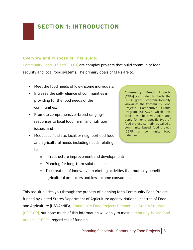### **SECTION 1: INTRODUCTION**

### **Overview and Purpose of This Guide:**

Community Food Projects (CFPs) are complex projects that build community food security and local food systems. The primary goals of CFPs are to:

- Meet the food needs of low-income individuals;
- Increase the self-reliance of communities in providing for the food needs of the communities;
- Promote comprehensive—broad ranging responses to local food, farm, and nutrition issues; and
- Meet specific state, local, or neighborhood food and agricultural needs including needs relating

to:

**Community Food Projects (CFPs)** can refer to both the USDA grant program—formally known as the Community Food Projects Competitive Grants Program (CFPCGP)—which this toolkit will help you plan and apply for, or a specific type of food project, sometimes called a community based food project (CBFP) or community food initiative.

- o Infrastructure improvement and development;
- o Planning for long-term solutions; or
- o The creation of innovative marketing activities that mutually benefit agricultural producers and low-income consumers.

This toolkit guides you through the process of planning for a Community Food Project funded by United States Department of Agriculture agency National Institute of Food and Agriculture (USDA/NIFA) Community Food Projects Competitive Grants Program (CFPCGP), but note: much of this information will apply to most community-based food projects (CBFPs) regardless of funding.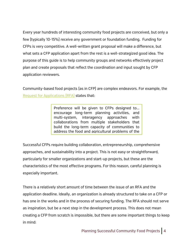Every year hundreds of interesting community food projects are conceived, but only a few (typically 10-15%) receive any government or foundation funding. Funding for CFPs is very competitive. A well-written grant proposal will make a difference, but what sets a CFP application apart from the rest is a well-strategized good idea. The purpose of this guide is to help community groups and networks effectively project plan and create proposals that reflect the coordination and input sought by CFP application reviewers.

Community-based food projects (as in CFP) are complex endeavors. For example, the Request for Applications (RFA) states that:

> Preference will be given to CFPs designed to... encourage long-term planning activities, and multi-system, interagency approaches with collaborations from multiple stakeholders that build the long-term capacity of communities to address the food and agricultural problems of the

Successful CFPs require building collaboration, entrepreneurship, comprehensive approaches, and sustainability into a project. This is not easy or straightforward, particularly for smaller organizations and start-up projects, but these are the characteristics of the most effective programs. For this reason, careful planning is especially important.

There is a relatively short amount of time between the issue of an RFA and the application deadline. Ideally, an organization is already structured to take on a CFP or has one in the works and in the process of securing funding. The RFA should not serve as inspiration, but be a next step in the development process. This does not mean creating a CFP from scratch is impossible, but there are some important things to keep in mind: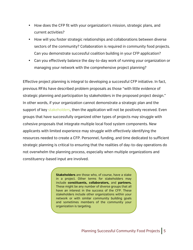- How does the CFP fit with your organization's mission, strategic plans, and current activities?
- How will you foster strategic relationships and collaborations between diverse sectors of the community? Collaboration is required in community food projects. Can you demonstrate successful coalition building in your CFP application?
- Can you effectively balance the day-to-day work of running your organization or managing your network with the comprehensive project planning?

Effective project planning is integral to developing a successful CFP initiative. In fact, previous RFAs have described problem proposals as those "with little evidence of strategic planning and participation by stakeholders in the proposed project design." In other words, if your organization cannot demonstrate a strategic plan and the support of key stakeholders, then the application will not be positively received. Even groups that have successfully organized other types of projects may struggle with cohesive proposals that integrate multiple local food system components. New applicants with limited experience may struggle with effectively identifying the resources needed to create a CFP. Personnel, funding, and time dedicated to sufficient strategic planning is critical to ensuring that the realities of day-to-day operations do not overwhelm the planning process, especially when multiple organizations and constituency-based input are involved.

> **Stakeholders** are those who, of course, have a stake in a project. Other terms for stakeholders may include **constituents, collaborators,** and **partners.** These might be any number of diverse groups that all have an interest in the success of the CFP. These stakeholders include other organizations within your network or with similar community building goals and sometimes members of the community your organization is targeting.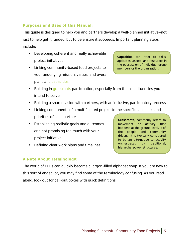### **Purposes and Uses of this Manual:**

This guide is designed to help you and partners develop a well-planned initiative—not just to help get it funded, but to be ensure it succeeds. Important planning steps include:

- Developing coherent and really achievable project initiatives
- Linking community-based food projects to your underlying mission, values, and overall plans and capacities

**Capacities** can refer to skills, aptitudes, assets, and resources in the possession of individual group members or the organization.

- Building in grassroots participation, especially from the constituencies you intend to serve
- Building a shared vision with partners, with an inclusive, participatory process
- Linking components of a multifaceted project to the specific capacities and priorities of each partner
- Establishing realistic goals and outcomes and not promising too much with your project initiative
- Defining clear work plans and timelines

**Grassroots**, commonly refers to movement or activity that happens at the ground level, is of the people and community driven. It is typically considered to be an alternative to activity orchestrated by traditional, hierarchal power structures.

### **A Note About Terminology:**

The world of CFPs can quickly become a jargon-filled alphabet soup. If you are new to this sort of endeavor, you may find some of the terminology confusing. As you read along, look out for call-out boxes with quick definitions.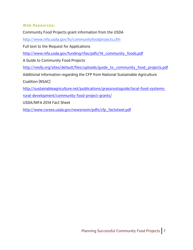### **Web Resources:**

Community Food Projects grant information from the USDA http://www.nifa.usda.gov/fo/communityfoodprojects.cfm Full text to the Request for Applications http://www.nifa.usda.gov/funding/rfas/pdfs/14\_community\_foods.pdf A Guide to Community Food Projects http://nesfp.org/sites/default/files/uploads/guide\_to\_community\_food\_projects.pdf Additional information regarding the CFP from National Sustainable Agriculture Coalition (NSAC) http://sustainableagriculture.net/publications/grassrootsguide/local-food-systemsrural-development/community-food-project-grants/

USDA/NIFA 2014 Fact Sheet

http://www.csrees.usda.gov/newsroom/pdfs/cfp\_factsheet.pdf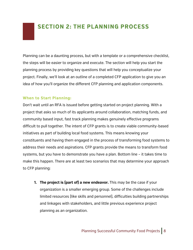### **SECTION 2: THE PLANNING PROCESS**

Planning can be a daunting process, but with a template or a comprehensive checklist, the steps will be easier to organize and execute. The section will help you start the planning process by providing key questions that will help you conceptualize your project. Finally, we'll look at an outline of a completed CFP application to give you an idea of how you'll organize the different CFP planning and application components.

### **When to Start Planning:**

Don't wait until an RFA is issued before getting started on project planning. With a project that asks so much of its applicants around collaboration, matching funds, and community based input, fast track planning makes genuinely effective programs difficult to pull together. The intent of CFP grants is to create viable community-based initiatives as part of building local food systems. This means knowing your constituents and having them engaged in the process of transforming food systems to address their needs and aspirations. CFP grants provide the means to transform food systems, but you have to demonstrate you have a plan. Bottom line – it takes time to make this happen. There are at least two scenarios that may determine your approach to CFP planning:

**1. The project is (part of) a new endeavor.** This may be the case if your organization is a smaller emerging group. Some of the challenges include limited resources (like skills and personnel), difficulties building partnerships and linkages with stakeholders, and little previous experience project planning as an organization.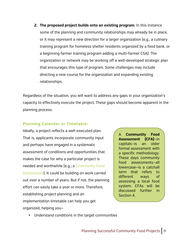**2. The proposed project builds onto an existing program.** In this instance some of the planning and community relationships may already be in place, or it may represent a new direction for a larger organization (e.g., a culinary training program for homeless shelter residents organized by a food bank, or a beginning farmer training program adding a multi-farmer CSA). The organization or network may be working off a well-developed strategic plan that encourages this type of program. Some challenges may include directing a new course for the organization and expanding existing relationships.

Regardless of the situation, you will want to address any gaps in your organization's capacity to effectively execute the project. These gaps should become apparent in the planning process.

### **Planning Calendar or Timetable:**

Ideally, a project reflects a well-executed plan. That is, applicants incorporate community input and perhaps have engaged in a systematic assessment of conditions and opportunities that makes the case for why a particular project is needed and worthwhile (e.g.; a Community Food Assessment). It could be building on work carried out over a number of years. But if not, the planning effort can easily take a year or more. Therefore, establishing project planning and an implementation timetable can help you get organized, helping you—

A **Community Food Assessment (CFA)**—in capitals—is an older formal assessment with a specific methodology. These days community food assessments—all lowercase—is a catchall term that refers to different ways of assessing a local food system. CFAs will be discussed further in Section 4.

• Understand conditions in the target communities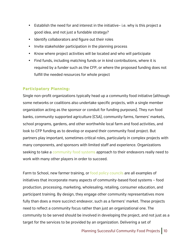- Establish the need for and interest in the initiative– i.e. why is this project a good idea, and not just a fundable strategy?
- Identify collaborators and figure out their roles
- Invite stakeholder participation in the planning process
- Know where project activities will be located and who will participate
- Find funds, including matching funds or in kind contributions, where it is required by a funder such as the CFP, or where the proposed funding does not fulfill the needed resources for whole project

### **Participatory Planning:**

Single non-profit organizations typically head up a community food initiative (although some networks or coalitions also undertake specific projects, with a single member organization acting as the sponsor or conduit for funding purposes). They run food banks, community supported agriculture (CSA), community farms, farmers' markets, school programs, gardens, and other worthwhile local farm and food activities, and look to CFP funding as to develop or expand their community food project. But partners play important, sometimes critical roles, particularly in complex projects with many components, and sponsors with limited staff and experience. Organizations seeking to take a community food systems approach to their endeavors really need to work with many other players in order to succeed.

Farm to School, new farmer training, or food policy councils are all examples of initiatives that incorporate many aspects of community-based food systems – food production, processing, marketing, wholesaling, retailing, consumer education, and participant training. By design, they engage other community representatives more fully than does a more succinct endeavor, such as a farmers' market. These projects need to reflect a community focus rather than just an organizational one. The community to be served should be involved in developing the project, and not just as a target for the services to be provided by an organization. Delivering a set of

Planning Successful Community Food Projects | 10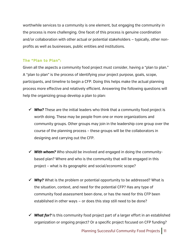worthwhile services to a community is one element, but engaging the community in the process is more challenging. One facet of this process is genuine coordination and/or collaboration with other actual or potential stakeholders — typically, other nonprofits as well as businesses, public entities and institutions.

### **The "Plan to Plan":**

Given all the aspects a community food project must consider, having a "plan to plan." A "plan to plan" is the process of identifying your project purpose, goals, scope, participants, and timeline to begin a CFP. Doing this helps make the actual planning process more effective and relatively efficient. Answering the following questions will help the organizing group develop a plan to plan:

- $\checkmark$  Who? These are the initial leaders who think that a community food project is worth doing. These may be people from one or more organizations and community groups. Other groups may join in the leadership core group over the course of the planning process – these groups will be the collaborators in designing and carrying out the CFP.
- $\checkmark$  With whom? Who should be involved and engaged in doing the communitybased plan? Where and who is the community that will be engaged in this project – what is its geographic and social/economic scope?
- $\checkmark$  Why? What is the problem or potential opportunity to be addressed? What is the situation, context, and need for the potential CFP? Has any type of community food assessment been done, or has the need for this CFP been established in other ways — or does this step still need to be done?
- $\checkmark$  What for? Is this community food project part of a larger effort in an established organization or ongoing project? Or a specific project focused on CFP funding?

Planning Successful Community Food Projects | 11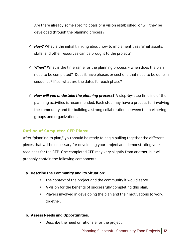Are there already some specific goals or a vision established, or will they be developed through the planning process?

- $\checkmark$  **How?** What is the initial thinking about how to implement this? What assets, skills, and other resources can be brought to the project?
- $\checkmark$  When? What is the timeframe for the planning process when does the plan need to be completed? Does it have phases or sections that need to be done in sequence? If so, what are the dates for each phase?
- ! *How will you undertake the planning process***?** A step-by-step timeline of the planning activities is recommended. Each step may have a process for involving the community and for building a strong collaboration between the partnering groups and organizations.

### **Outline of Completed CFP Plans:**

After "planning to plan," you should be ready to begin pulling together the different pieces that will be necessary for developing your project and demonstrating your readiness for the CFP. One completed CFP may vary slightly from another, but will probably contain the following components:

### **a. Describe the Community and its Situation:**

- The context of the project and the community it would serve.
- A vision for the benefits of successfully completing this plan.
- Players involved in developing the plan and their motivations to work together.

### **b. Assess Needs and Opportunities:**

• Describe the need or rationale for the project.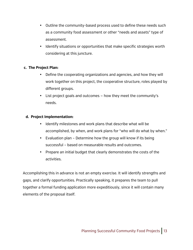- Outline the community-based process used to define these needs such as a community food assessment or other "needs and assets" type of assessment.
- Identify situations or opportunities that make specific strategies worth considering at this juncture.

### **c. The Project Plan:**

- Define the cooperating organizations and agencies, and how they will work together on this project, the cooperative structure, roles played by different groups.
- List project goals and outcomes how they meet the community's needs.

### **d. Project Implementation:**

- Identify milestones and work plans that describe what will be accomplished, by when, and work plans for "who will do what by when."
- Evaluation plan Determine how the group will know if its being successful – based on measurable results and outcomes.
- Prepare an initial budget that clearly demonstrates the costs of the activities.

Accomplishing this in advance is not an empty exercise. It will identify strengths and gaps, and clarify opportunities. Practically speaking, it prepares the team to pull together a formal funding application more expeditiously, since it will contain many elements of the proposal itself.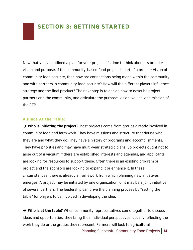Now that you've outlined a plan for your project, it's time to think about its broader vision and purpose. If the community-based food project is part of a broader vision of community food security, then how are connections being made within the community and with partners in community food security? How will the different players influence strategy and the final product? The next step is to decide how to describe project partners and the community, and articulate the purpose, vision, values, and mission of the CFP.

### **A Place At the Table:**

→ Who is initiating the project? Most projects come from groups already involved in community food and farm work. They have missions and structure that define who they are and what they do. They have a history of programs and accomplishments. They have priorities and may have multi-year strategic plans. So projects ought not to arise out of a vacuum if there are established interests and agendas, and applicants are looking for resources to support these. Often there is an existing program or project and the sponsors are looking to expand it or enhance it. In these circumstances, there is already a framework from which planning new initiatives emerges. A project may be initiated by one organization, or it may be a joint initiative of several partners. The leadership can drive the planning process by "setting the table" for players to be involved in developing the idea.

 $\rightarrow$  Who is at the table? When community representatives come together to discuss ideas and opportunities, they bring their individual perspectives, usually reflecting the work they do or the groups they represent. Farmers will look to agricultural

Planning Successful Community Food Projects | 14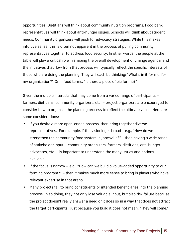opportunities. Dietitians will think about community nutrition programs. Food bank representatives will think about anti-hunger issues. Schools will think about student needs. Community organizers will push for advocacy strategies. While this makes intuitive sense, this is often not apparent in the process of pulling community representatives together to address food security. In other words, the people at the table will play a critical role in shaping the overall development or change agenda, and the initiatives that flow from that process will typically reflect the specific interests of those who are doing the planning. They will each be thinking: "What's in it for me, for my organization?" Or in food terms, "Is there a piece of pie for me?"

Given the multiple interests that may come from a varied range of participants farmers, dietitians, community organizers, etc. — project organizers are encouraged to consider how to organize the planning process to reflect the ultimate vision. Here are some considerations:

- If you desire a more open-ended process, then bring together diverse representatives. For example, if the visioning is broad – e.g., "How do we strengthen the community food system in Jonesville?" – then having a wide range of stakeholder input — community organizers, farmers, dietitians, anti-hunger advocates, etc. — is important to understand the many issues and options available.
- If the focus is narrow e.g., "How can we build a value-added opportunity to our farming program?" — then it makes much more sense to bring in players who have relevant expertise in that arena.
- Many projects fail to bring constituents or intended beneficiaries into the planning process. In so doing, they not only lose valuable input, but also risk failure because the project doesn't really answer a need or it does so in a way that does not attract the target participants. Just because you build it does not mean, "They will come."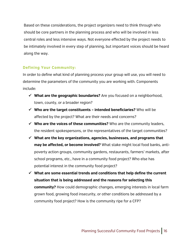Based on these considerations, the project organizers need to think through who should be core partners in the planning process and who will be involved in less central roles and less intensive ways. Not everyone effected by the project needs to be intimately involved in every step of planning, but important voices should be heard along the way.

### **Defining Your Community:**

In order to define what kind of planning process your group will use, you will need to determine the parameters of the community you are working with. Components include:

- ! **What are the geographic boundaries?** Are you focused on a neighborhood, town, county, or a broader region?
- ! **Who are the target constituents – intended beneficiaries?** Who will be affected by the project? What are their needs and concerns?
- ! **Who are the voices of these communities?** Who are the community leaders, the resident spokespersons, or the representatives of the target communities?
- ! **What are the key organizations, agencies, businesses, and programs that may be affected, or become involved?** What stake might local food banks, antipoverty action groups, community gardens, restaurants, farmers' markets, after school programs, etc., have in a community food project? Who else has potential interest in the community food project?
- $\checkmark$  What are some essential trends and conditions that help define the current **situation that is being addressed and the reasons for selecting this community?** How could demographic changes, emerging interests in local farm grown food, growing food insecurity, or other conditions be addressed by a community food project? How is the community ripe for a CFP?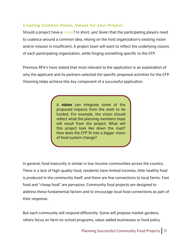### **Creating Common Vision, Values for your Project:**

Should a project have a vision? In short, yes! Given that the participating players need to coalesce around a common idea, relying on the host organization's existing vision and/or mission is insufficient. A project team will want to reflect the underlying visions of each participating organization, while forging something specific to the CFP.

Previous RFA's have stated that most relevant to the application is an explanation of why the applicant and its partners selected the specific proposed activities for the CFP. Visioning helps achieve this key component of a successful application.

> A **vision** can integrate some of the proposed impacts from the work to be funded. For example, the vision should reflect what the planning members hope will result from the project: What will this project look like down the road? How does the CFP fit into a bigger vision of food system change?

In general, food insecurity is similar in low-income communities across the country. There is a lack of high-quality food, residents have limited incomes, little healthy food is produced in the community itself, and there are few connections to local farms. Fast food and "cheap food" are pervasive. Community food projects are designed to address these fundamental factors and to encourage local food connections as part of their response.

But each community will respond differently. Some will propose market gardens, others focus on farm-to-school programs, value-added businesses or food policy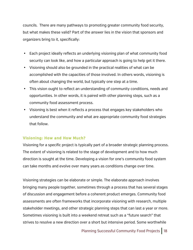councils. There are many pathways to promoting greater community food security, but what makes these valid? Part of the answer lies in the vision that sponsors and organizers bring to it, specifically:

- Each project ideally reflects an underlying visioning plan of what community food security can look like, and how a particular approach is going to help get it there.
- Visioning should also be grounded in the practical realities of what can be accomplished with the capacities of those involved. In others words, visioning is often about changing the world, but typically one step at a time.
- This vision ought to reflect an understanding of community conditions, needs and opportunities. In other words, it is paired with other planning steps, such as a community food assessment process.
- Visioning is best when it reflects a process that engages key stakeholders who understand the community and what are appropriate community food strategies that follow.

### **Visioning: How and How Much?**

Visioning for a specific project is typically part of a broader strategic planning process. The extent of visioning is related to the stage of development and to how much direction is sought at the time. Developing a vision for one's community food system can take months and evolve over many years as conditions change over time.

Visioning strategies can be elaborate or simple. The elaborate approach involves bringing many people together, sometimes through a process that has several stages of discussion and engagement before a coherent product emerges. Community food assessments are often frameworks that incorporate visioning with research, multiple stakeholder meetings, and other strategic planning steps that can last a year or more. Sometimes visioning is built into a weekend retreat such as a "future search" that strives to resolve a new direction over a short but intensive period. Some worthwhile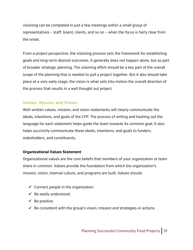visioning can be completed in just a few meetings within a small group of representatives – staff, board, clients, and so on – when the focus is fairly clear from the onset.

From a project perspective, the visioning process sets the framework for establishing goals and long-term desired outcomes. It generally does not happen alone, but as part of broader strategic planning. The visioning effort should be a key part of the overall scope of the planning that is needed to pull a project together. But it also should take place at a very early stage; the vision is what sets into motion the overall direction of the process that results in a well thought out project.

### **Values, Mission and Vision:**

Well-written values, mission, and vision statements will clearly communicate the ideals, intentions, and goals of the CFP. The process of writing and hashing out the language for each statement helps guide the team towards its common goal. It also helps succinctly communicate these ideals, intentions, and goals to funders, stakeholders, and constituents.

### **Organizational Values Statement**

Organizational values are the core beliefs that members of your organization or team share in common. Values provide the foundation from which the organization's mission, vision, internal culture, and programs are built. Values should:

- $\checkmark$  Connect people in the organization.
- $\checkmark$  Be easily understood.
- $\checkmark$  Be positive.
- $\checkmark$  Be consistent with the group's vision, mission and strategies or actions.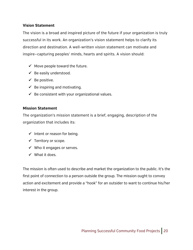### **Vision Statement**

The vision is a broad and inspired picture of the future if your organization is truly successful in its work. An organization's vision statement helps to clarify its direction and destination. A well-written vision statement can motivate and inspire—capturing peoples' minds, hearts and spirits. A vision should:

- $\checkmark$  Move people toward the future.
- $\checkmark$  Be easily understood.
- $\checkmark$  Be positive.
- $\checkmark$  Be inspiring and motivating.
- $\checkmark$  Be consistent with your organizational values.

### **Mission Statement**

The organization's mission statement is a brief, engaging, description of the organization that includes its:

- $\checkmark$  Intent or reason for being.
- $\checkmark$  Territory or scope.
- $\checkmark$  Who it engages or serves.
- $\checkmark$  What it does.

The mission is often used to describe and market the organization to the public. It's the first point of connection to a person outside the group. The mission ought to convey action and excitement and provide a "hook" for an outsider to want to continue his/her interest in the group.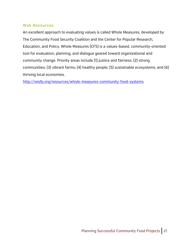### **Web Resources**

An excellent approach to evaluating values is called Whole Measures, developed by The Community Food Security Coalition and the Center for Popular Research, Education, and Policy. Whole Measures (CFS) is a values-based, community-oriented tool for evaluation, planning, and dialogue geared toward organizational and community change. Priority areas include (1) justice and fairness; (2) strong communities; (3) vibrant farms; (4) healthy people; (5) sustainable ecosystems, and (6) thriving local economies.

http://nesfp.org/resources/whole-measures-community-food-systems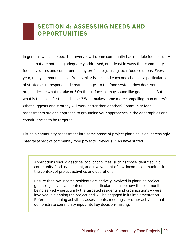### **SECTION 4: ASSESSING NEEDS AND OPPORTUNITIES**

In general, we can expect that every low-income community has multiple food security issues that are not being adequately addressed, or at least in ways that community food advocates and constituents may prefer – e.g., using local food solutions. Every year, many communities confront similar issues and each one chooses a particular set of strategies to respond and create changes to the food system. How does your project decide what to take on? On the surface, all may sound like good ideas. But what is the basis for these choices? What makes some more compelling than others? What suggests one strategy will work better than another? Community food assessments are one approach to grounding your approaches in the geographies and constituencies to be targeted.

Fitting a community assessment into some phase of project planning is an increasingly integral aspect of community food projects. Previous RFAs have stated:

Applications should describe local capabilities, such as those identified in a community food assessment, and involvement of low-income communities in the context of project activities and operations.

Ensure that low-income residents are actively involved in planning project goals, objectives, and outcomes. In particular, describe how the communities being served – particularly the targeted residents and organizations – were involved in planning the project and will be engaged in its implementation. Reference planning activities, assessments, meetings, or other activities that demonstrate community input into key decision-making.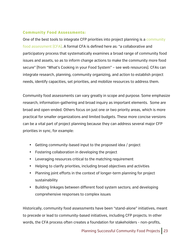### **Community Food Assessments:**

One of the best tools to integrate CFP priorities into project planning is a community food assessment (CFA). A formal CFA is defined here as: "a collaborative and participatory process that systematically examines a broad range of community food issues and assets, so as to inform change actions to make the community more food secure" (from "What's Cooking in your Food System" – see web resources). CFAs can integrate research, planning, community organizing, and action to establish project needs, identify capacities, set priorities, and mobilize resources to address them.

Community food assessments can vary greatly in scope and purpose. Some emphasize research, information-gathering and broad inquiry as important elements. Some are broad and open-ended. Others focus on just one or two priority areas, which is more practical for smaller organizations and limited budgets. These more concise versions can be a vital part of project planning because they can address several major CFP priorities in sync, for example:

- Getting community-based input to the proposed idea / project
- Fostering collaboration in developing the project
- Leveraging resources critical to the matching requirement
- Helping to clarify priorities, including broad objectives and activities
- Planning joint efforts in the context of longer-term planning for project sustainability
- Building linkages between different food system sectors; and developing comprehensive responses to complex issues

Historically, community food assessments have been "stand-alone" initiatives, meant to precede or lead to community-based initiatives, including CFP projects. In other words, the CFA process often creates a foundation for stakeholders - non-profits,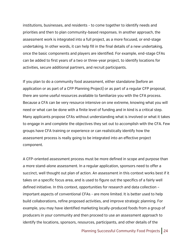institutions, businesses, and residents - to come together to identify needs and priorities and then to plan community-based responses. In another approach, the assessment work is integrated into a full project, as a more focused, or end-stage undertaking. In other words, it can help fill in the final details of a new undertaking, once the basic components and players are identified. For example, end-stage CFAs can be added to first years of a two or three-year project, to identify locations for activities, secure additional partners, and recruit participants.

If you plan to do a community food assessment, either standalone (before an application or as part of a CFP Planning Project) or as part of a regular CFP proposal, there are some useful resources available to familiarize you with the CFA process. Because a CFA can be very resource intensive on one extreme, knowing what you will need or what can be done with a finite level of funding and in kind is a critical step. Many applicants propose CFAs without understanding what is involved or what it takes to engage in and complete the objectives they set out to accomplish with the CFA. Few groups have CFA training or experience or can realistically identify how the assessment process is really going to be integrated into an effective project component.

A CFP-oriented assessment process must be more defined in scope and purpose than a more stand-alone assessment. In a regular application, sponsors need to offer a succinct, well thought out plan of action. An assessment in this context works best if it takes on a specific focus area, and is used to figure out the specifics of a fairly well defined initiative. In this context, opportunities for research and data collection – important aspects of conventional CFAs - are more limited. It is better used to help build collaborations, refine proposed activities, and improve strategic planning. For example, you may have identified marketing locally-produced foods from a group of producers in your community and then proceed to use an assessment approach to identify the locations, sponsors, resources, participants, and other details of the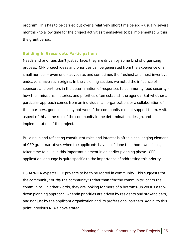program. This has to be carried out over a relatively short time period – usually several months - to allow time for the project activities themselves to be implemented within the grant period.

### **Building In Grassroots Participation:**

Needs and priorities don't just surface; they are driven by some kind of organizing process. CFP project ideas and priorities can be generated from the experience of a small number – even one – advocate, and sometimes the freshest and most inventive endeavors have such origins. In the visioning section, we noted the influence of sponsors and partners in the determination of responses to community food security – how their missions, histories, and priorities often establish the agenda. But whether a particular approach comes from an individual, an organization, or a collaboration of their partners, good ideas may not work if the community did not support them. A vital aspect of this is the role of the community in the determination, design, and implementation of the project.

Building in and reflecting constituent roles and interest is often a challenging element of CFP grant narratives when the applicants have not "done their homework"—i.e., taken time to build in this important element in an earlier planning phase. CFP application language is quite specific to the importance of addressing this priority.

USDA/NIFA expects CFP projects to be to be rooted in community. This suggests "*of* the community" or "*by* the community" rather than "*for* the community" or "*to* the community." In other words, they are looking for more of a bottoms-up versus a topdown planning approach, wherein priorities are driven by residents and stakeholders, and not just by the applicant organization and its professional partners. Again, to this point, previous RFA's have stated: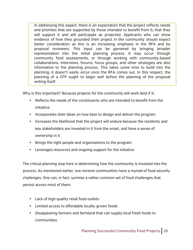In addressing this aspect, there is an expectation that the project reflects needs and priorities that are supported by those intended to benefit from it; that they will support it and will participate as projected. Applicants who can show evidence of how they grounded their project in the community should expect better consideration as this is an increasing emphasis in the RFA and by proposal reviewers. This input can be garnered by bringing broader representation into the initial planning process. It may occur through community food assessments, or through working with community-based collaborations. Interviews, forums, focus groups, and other strategies are also informative to the planning process. This takes some time to build into the planning; it doesn't easily occur once the RFA comes out. In this respect, the planning of a CFP ought to begin well before the planning of the proposal writing itself.

Why is this important? Because projects for the community will work best if it:

- Reflects the needs of the constituents who are intended to benefit from the initiative
- Incorporates their ideas on how best to design and deliver the program
- Increases the likelihood that the project will endure because the residents and key stakeholders are invested in it from the onset, and have a sense of ownership in it
- Brings the right people and organizations to the program
- Leverages resources and ongoing support for the initiative

The critical planning step here is determining *how* the community is invested into the process. As mentioned earlier, low-income communities have a myriad of food security challenges. One can, in fact, surmise a rather common set of food challenges that persist across most of them:

- Lack of high quality retail food outlets
- Limited access to affordable locally-grown foods
- Disappearing farmers and farmland that can supply local fresh foods to communities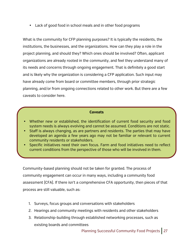• Lack of good food in school meals and in other food programs

What is the community for CFP planning purposes? It is typically the residents, the institutions, the businesses, and the organizations. How can they play a role in the project planning, and should they? Which ones should be involved? Often, applicant organizations are already rooted in the community, and feel they understand many of its needs and concerns through ongoing engagement. That is definitely a good start and is likely why the organization is considering a CFP application. Such input may have already come from board or committee members, through prior strategic planning, and/or from ongoing connections related to other work. But there are a few caveats to consider here.

#### **Caveats**

- Whether new or established, the identification of current food security and food system needs is always evolving and cannot be assumed. Conditions are not static.
- Staff is always changing, as are partners and residents. The parties that may have developed an agenda a few years ago may not be familiar or relevant to current community residents or stakeholders.
- Specific initiatives need their own focus. Farm and food initiatives need to reflect current conditions from the perspective of those who will be involved in them.

Community-based planning should not be taken for granted. The process of community engagement can occur in many ways, including a community food assessment (CFA). If there isn't a comprehensive CFA opportunity, then pieces of that process are still valuable, such as:

- 1. Surveys, focus groups and conversations with stakeholders
- 2. Hearings and community meetings with residents and other stakeholders
- 3. Relationship-building through established networking processes, such as existing boards and committees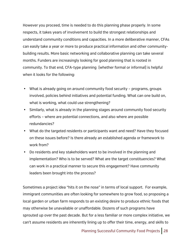However you proceed, time is needed to do this planning phase properly. In some respects, it takes years of involvement to build the strongest relationships and understand community conditions and capacities. In a more deliberative manner, CFAs can easily take a year or more to produce practical information and other communitybuilding results. More basic networking and collaborative planning can take several months. Funders are increasingly looking for good planning that is rooted in community. To that end, CFA-type planning (whether formal or informal) is helpful when it looks for the following:

- What is already going on around community food security programs, groups involved, policies behind initiatives and potential funding. What can one build on, what is working, what could use strengthening?
- Similarly, what is already in the planning stages around community food security efforts – where are potential connections, and also where are possible redundancies?
- What do the targeted residents or participants want and need? Have they focused on these issues before? Is there already an established agenda or framework to work from?
- Do residents and key stakeholders want to be involved in the planning and implementation? Who is to be served? What are the target constituencies? What can work in a practical manner to secure this engagement? Have community leaders been brought into the process?

Sometimes a project idea "hits it on the nose" in terms of local support. For example, immigrant communities are often looking for somewhere to grow food, so proposing a local garden or urban farm responds to an existing desire to produce ethnic foods that may otherwise be unavailable or unaffordable. Dozens of such programs have sprouted up over the past decade. But for a less familiar or more complex initiative, we can't assume residents are inherently lining up to offer their time, energy, and skills to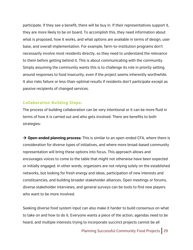participate. If they see a benefit, there will be buy in. If their representatives support it, they are more likely to be on board. To accomplish this, they need information about what is proposed, how it works, and what options are available in terms of design, user base, and overall implementation. For example, farm-to-institution programs don't necessarily involve most residents directly, so they need to understand the relevance to them before getting behind it. This is about communicating with the community. Simply assuming the community wants this is to challenge its role in priority setting around responses to food insecurity, even if the project seems inherently worthwhile. It also risks failure or less-than-optimal results if residents don't participate except as passive recipients of changed services.

### **Collaboration Building Steps:**

The process of building collaboration can be very intentional or it can be more fluid in terms of how it is carried out and who gets involved. There are benefits to both strategies:

 $\rightarrow$  **Open-ended planning process:** This is similar to an open-ended CFA, where there is consideration for diverse types of initiatives, and where more broad-based community representation will bring these options into focus. This approach allows and encourages voices to come to the table that might not otherwise have been expected or initially engaged. In other words, organizers are not relying solely on the established networks, but looking for fresh energy and ideas, participation of new interests and constituencies, and building broader stakeholder alliances. Open meetings or forums, diverse stakeholder interviews, and general surveys can be tools to find new players who want to be more involved.

Seeking diverse food system input can also make it harder to build consensus on what to take on and how to do it. Everyone wants a piece of the action, agendas need to be heard, and multiple interests trying to incorporate succinct projects cannot be all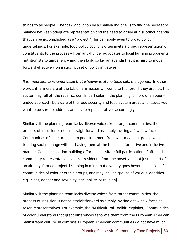things to all people. The task, and it can be a challenging one, is to find the necessary balance between adequate representation and the need to arrive at a succinct agenda that can be accomplished as a "project." This can apply even to broad policy undertakings. For example, food policy councils often invite a broad representation of constituents to the process – from anti-hunger advocates to local farming proponents, nutritionists to gardeners – and then build so big an agenda that it is hard to move forward effectively on a succinct set of policy initiatives.

*It is important to re-emphasize that whoever is at the table sets the agenda.* In other words, if farmers are at the table, farm issues will come to the fore; if they are not, this sector may fall off the radar screen. In particular, if the planning is more of an openended approach, be aware of the food security and food system areas and issues you want to be sure to address, and invite representatives accordingly.

Similarly, if the planning team lacks diverse voices from target communities, the process of inclusion is not as straightforward as simply inviting a few new faces. Communities of color are used to poor treatment from well-meaning groups who seek to bring social change without having them at the table in a formative and inclusive manner. Genuine coalition-building efforts necessitate full participation of affected community representatives, and/or residents, from the onset, and not just as part of an already-formed project. (Keeping in mind that diversity goes beyond inclusion of communities of color or ethnic groups, and may include groups of various identities e.g., class, gender and sexuality, age, ability, or religion).

Similarly, if the planning team lacks diverse voices from target communities, the process of inclusion is not as straightforward as simply inviting a few new faces as token representatives. For example, the "Multicultural Toolkit" explains, "Communities of color understand that great differences separate them from the European American mainstream culture. In contrast, European American communities do not have much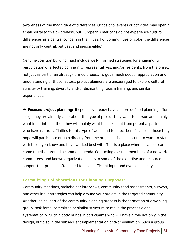awareness of the magnitude of differences. Occasional events or activities may open a small portal to this awareness, but European Americans do not experience cultural differences as a central concern in their lives. For communities of color, the differences are not only central, but vast and inescapable."

Genuine coalition building must include well-informed strategies for engaging full participation of affected community representatives, and/or residents, from the onset, not just as part of an already-formed project. To get a much deeper appreciation and understanding of these factors, project planners are encouraged to explore cultural sensitivity training, diversity and/or dismantling racism training, and similar experiences.

 $\rightarrow$  **Focused project planning:** If sponsors already have a more defined planning effort - e.g., they are already clear about the type of project they want to pursue and mainly want input into it – then they will mainly want to seek input from potential partners who have natural affinities to this type of work, and to direct beneficiaries – those they hope will participate or gain directly from the project. It is also natural to want to start with those you know and have worked best with. This is a place where alliances can come together around a common agenda. Contacting existing members of a network, committees, and known organizations gets to some of the expertise and resource support that projects often need to have sufficient input and overall capacity.

#### **Formalizing Collaborations for Planning Purposes:**

Community meetings, stakeholder interviews, community food assessments, surveys, and other input strategies can help ground your project in the targeted community. Another logical part of the community planning process is the formation of a working group, task force, committee or similar structure to move the process along systematically. Such a body brings in participants who will have a role not only in the design, but also in the subsequent implementation and/or evaluation. Such a group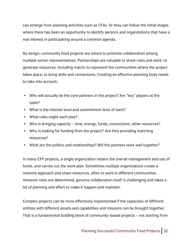can emerge from planning activities such as CFAs. Or they can follow the initial stages where there has been an opportunity to identify persons and organizations that have a real interest in participating around a common agenda.

By design, community food projects are meant to promote collaboration among multiple sector representatives. Partnerships are valuable to share roles and work, to generate resources, including match; to represent the communities where the project takes place; to bring skills and connections. Creating an effective planning body needs to take into account:

- Who will actually be the core partners in the project? Are "key" players at the table?
- What is the interest level and commitment level of each?
- What roles might each play?
- Who is bringing capacity time, energy, funds, connections, other resources?
- Who is looking for funding from the project? Are they providing matching resources?
- What are the politics and relationships? Will the partners work well together?

In many CFP projects, a single organization retains the overall management and use of funds, and carries out the work plan. Sometimes multiple organizations create a network approach and share resources, often to work in different communities. However roles are determined, genuine collaboration itself is challenging and takes a lot of planning and effort to make it happen and maintain.

Complex projects can be more effectively implemented if the capacities of different entities with different assets and capabilities and missions can be brought together. That is a fundamental building block of community-based projects – not starting from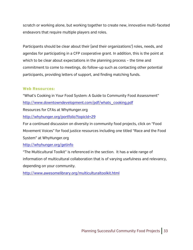scratch or working alone, but working together to create new, innovative multi-faceted endeavors that require multiple players and roles.

Participants should be clear about their (and their organizations') roles, needs, and agendas for participating in a CFP cooperative grant. In addition, this is the point at which to be clear about expectations in the planning process – the time and commitment to come to meetings, do follow-up such as contacting other potential participants, providing letters of support, and finding matching funds.

### **Web Resources:**

"What's Cooking in Your Food System: A Guide to Community Food Assessment" http://www.downtowndevelopment.com/pdf/whats\_cooking.pdf Resources for CFAs at WhyHunger.org http://whyhunger.org/portfolio?topicId=29 For a continued discussion on diversity in community food projects, click on "Food Movement Voices" for food justice resources including one titled "Race and the Food System" at WhyHunger.org http://whyhunger.org/getinfo

"The Multicultural Toolkit" is referenced in the section. It has a wide range of information of multicultural collaboration that is of varying usefulness and relevancy, depending on your community.

http://www.awesomelibrary.org/multiculturaltoolkit.html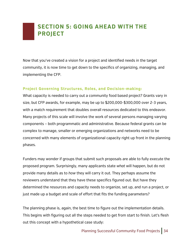### **SECTION 5: GOING AHEAD WITH THE PROJECT**

Now that you've created a vision for a project and identified needs in the target community, it is now time to get down to the specifics of organizing, managing, and implementing the CFP.

### **Project Governing Structures, Roles, and Decision-making:**

What capacity is needed to carry out a community food based project? Grants vary in size, but CFP awards, for example, may be up to \$200,000-\$300,000 over 2-3 years, with a match requirement that doubles overall resources dedicated to this endeavor. Many projects of this scale will involve the work of several persons managing varying components – both programmatic and administrative. Because federal grants can be complex to manage, smaller or emerging organizations and networks need to be concerned with many elements of organizational capacity right up front in the planning phases.

Funders may wonder if groups that submit such proposals are able to fully execute the proposed program. Surprisingly, many applicants state *what* will happen, but do not provide many details as to *how* they will carry it out. They perhaps assume the reviewers understand that they have these specifics figured out. But have they determined the resources and capacity needs to organize, set up, and run a project, or just made up a budget and scale of effort that fits the funding parameters?

The planning phase is, again, the best time to figure out the implementation details. This begins with figuring out all the steps needed to get from start to finish. Let's flesh out this concept with a hypothetical case study: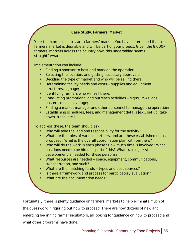### **Case Study: Farmers' Market**

Your team proposes to start a farmers' market. You have determined that a farmers' market is desirable and will be part of your project. Given the 8,000+ farmers' markets across the country now, this undertaking seems straightforward.

Implementation can include:

- Finding a sponsor to host and manage the operation;
- Selecting the location, and getting necessary approvals;
- Deciding the type of market and who will be selling there;
- Determining facility needs and costs supplies and equipment, structures, signage;
- Identifying farmers who will sell there;
- Conducting promotional and outreach activities signs, PSAs, ads, posters, media coverage;
- Finding a market manager and other personnel to manage the operation;
- Establishing schedules, fees, and management details (e.g., set up, take down, trash, etc.)

To address these, the team should ask:

- Who will take the lead and responsibility for the activity?
- What are the roles of various partners, and are these established or just proposed? What is the overall coordination plan with partners?
- Who will do the work in each phase? How much time is involved? What positions need to be hired as part of this? What training or skill development is needed for these persons?
- What resources are needed space, equipment, communications, transportation, and such?
- What are the matching funds types and best sources?
- Is there a framework and process for participatory evaluation?
- What are the documentation needs?

Fortunately, there is plenty guidance on farmers' markets to help eliminate much of the guesswork in figuring out how to proceed. There are now dozens of new and emerging beginning farmer incubators, all looking for guidance on how to proceed and what other programs have done.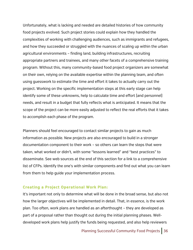Unfortunately, what is lacking and needed are detailed histories of how community food projects evolved. Such project stories could explain how they handled the complexities of working with challenging audiences, such as immigrants and refugees, and how they succeeded or struggled with the nuances of scaling up within the urban agricultural environments – finding land, building infrastructures, recruiting appropriate partners and trainees, and many other facets of a comprehensive training program. Without this, many community-based food project organizers are somewhat on their own, relying on the available expertise within the planning team, and often using guesswork to estimate the time and effort it takes to actually carry out the project. Working on the specific implementation steps at this early stage can help identify some of these unknowns, help to calculate time and effort (and personnel) needs, and result in a budget that fully reflects what is anticipated. It means that the scope of the project can be more easily adjusted to reflect the real efforts that it takes to accomplish each phase of the program.

Planners should feel encouraged to contact similar projects to gain as much information as possible. New projects are also encouraged to build in a stronger documentation component to their work – so others can learn the steps that were taken, what worked or didn't, with some "lessons learned" and "best practices" to disseminate. See web sources at the end of this section for a link to a comprehensive list of CFPs. Identify the one's with similar components and find out what you can learn from them to help guide your implementation process.

#### **Creating a Project Operational Work Plan:**

It's important not only to determine what will be done in the broad sense, but also not how the larger objectives will be implemented in detail. That, in essence, is the work plan. Too often, work plans are handled as an afterthought – they are developed as part of a proposal rather than thought out during the initial planning phases. Welldeveloped work plans help justify the funds being requested, and also help reviewers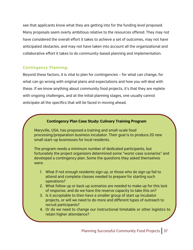see that applicants know what they are getting into for the funding level proposed. Many proposals seem overly ambitious relative to the resources offered. They may not have considered the overall effort it takes to achieve a set of outcomes, may not have anticipated obstacles, and may not have taken into account all the organizational and collaborative effort it takes to do community-based planning and implementation.

### **Contingency Planning:**

Beyond these factors, it is vital to plan for contingencies – for what can change, for what can go wrong with original plans and expectations and how you will deal with these. If we know anything about community food projects, it's that they are replete with ongoing challenges, and at the initial planning stages, one usually cannot anticipate all the specifics that will be faced in moving ahead.

### **Contingency Plan Case Study: Culinary Training Program**

Maryville, USA, has proposed a training and small-scale food processing/preparation business incubator. Their goal is to produce 20 new small start-up businesses for local residents.

The program needs a minimum number of dedicated participants, but fortunately the project organizers determined some "worst-case scenarios" and developed a contingency plan. Some the questions they asked themselves were:

- 1. What if not enough residents sign up, or those who do sign up fail to attend and complete classes needed to prepare for starting such operations?
- 2. What follow up or back up scenarios are needed to make up for this lack of response, and do we have the reserve capacity to take this on?
- 3. Is it acceptable to then have a smaller group of start up incubator projects, or will we need to do more and different types of outreach to recruit participants?
- 4. Or do we need to change our instructional timetable or other logistics to retain higher attendance?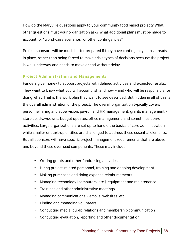How do the Maryville questions apply to your community food based project? What other questions must your organization ask? What additional plans must be made to account for "worst-case scenarios" or other contingencies?

Project sponsors will be much better prepared if they have contingency plans already in place, rather than being forced to make crisis types of decisions because the project is well underway and needs to move ahead without delay.

### **Project Administration and Management:**

Funders give money to support projects with defined activities and expected results. They want to know what you will accomplish and how – and who will be responsible for doing what. That is the work plan they want to see described. But hidden in all of this is the overall administration of the project. The overall organization typically covers personnel hiring and supervision, payroll and HR management, grants management – start-up, drawdowns, budget updates, office management, and sometimes board activities. Large organizations are set up to handle the basics of core administration, while smaller or start-up entities are challenged to address these essential elements. But all sponsors will have specific project management requirements that are above and beyond these overhead components. These may include:

- Writing grants and other fundraising activities
- Hiring project-related personnel, training and ongoing development
- Making purchases and doing expense reimbursements
- Managing technology (computers, etc.), equipment and maintenance
- Trainings and other administrative meetings
- Managing communications emails, websites, etc.
- Finding and managing volunteers
- Conducting media, public relations and membership communication
- Conducting evaluation, reporting and other documentation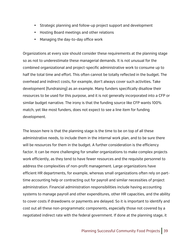- Strategic planning and follow-up project support and development
- Hosting Board meetings and other relations
- Managing the day-to-day office work

Organizations at every size should consider these requirements at the planning stage so as not to underestimate these managerial demands. It is not unusual for the combined organizational and project-specific administrative work to consume up to half the total time and effort. This often cannot be totally reflected in the budget. The overhead and indirect costs, for example, don't always cover such activities. Take development (fundraising) as an example. Many funders specifically disallow their resources to be used for this purpose, and it is not generally incorporated into a CFP or similar budget narrative. The irony is that the funding source like CFP wants 100% match, yet like most funders, does not expect to see a line item for funding development.

The lesson here is that the planning stage is the time to be on top of all these administrative needs, to include them in the internal work plan, and to be sure there will be resources for them in the budget. A further consideration is the efficiency factor. It can be more challenging for smaller organizations to make complex projects work efficiently, as they tend to have fewer resources and the requisite personnel to address the complexities of non-profit management. Large organizations have efficient HR departments, for example, whereas small organizations often rely on parttime accounting help or contracting out for payroll and similar necessities of project administration. Financial administration responsibilities include having accounting systems to manage payroll and other expenditures, other HR capacities, and the ability to cover costs if drawdowns or payments are delayed. So it is important to identify and cost out all these non-programmatic components, especially those not covered by a negotiated indirect rate with the federal government. If done at the planning stage, it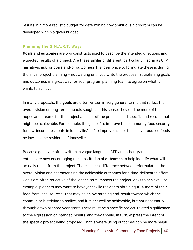results in a more realistic budget for determining how ambitious a program can be developed within a given budget.

#### **Planning the S.M.A.R.T. Way:**

**Goals** and **outcomes** are two constructs used to describe the intended directions and expected results of a project. Are these similar or different, particularly insofar as CFP narratives ask for goals and/or outcomes? The ideal place to formulate these is during the initial project planning – not waiting until you write the proposal. Establishing goals and outcomes is a great way for your program planning team to agree on what it wants to achieve.

In many proposals, the **goals** are often written in very general terms that reflect the overall vision or long-term impacts sought. In this sense, they outline more of the hopes and dreams for the project and less of the practical and specific end results that might be achievable. For example, the goal is "to improve the community food security for low-income residents in Jonesville," or "to improve access to locally produced foods by low-income residents of Jonesville."

Because goals are often written in vague language, CFP and other grant-making entities are now encouraging the substitution of **outcomes** to help identify what will actually result from the project. There is a real difference between reformulating the overall vision and characterizing the achievable outcomes for a time-delineated effort. Goals are often reflective of the longer-term impacts the project looks to achieve. For example, planners may want to have Jonesville residents obtaining 10% more of their food from local sources. That may be an overarching end-result toward which the community is striving to realize, and it might well be achievable, but not necessarily through a two or three year grant. There must be a specific project-related significance to the expression of intended results, and they should, in turn, express the intent of the specific project being proposed. That is where using outcomes can be more helpful.

Planning Successful Community Food Projects | 40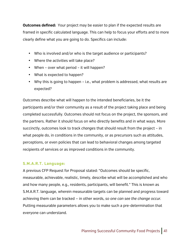**Outcomes defined:** Your project may be easier to plan if the expected results are framed in specific calculated language. This can help to focus your efforts and to more clearly define what you are going to do. Specifics can include:

- Who is involved and/or who is the target audience or participants?
- Where the activities will take place?
- When over what period it will happen?
- What is expected to happen?
- Why this is going to happen i.e., what problem is addressed, what results are expected?

Outcomes describe what will happen to the intended beneficiaries, be it the participants and/or their community as a result of the project taking place and being completed successfully. Outcomes should not focus on the project, the sponsors, and the partners. Rather it should focus on who directly benefits and in what ways. More succinctly, outcomes look to track *changes* that should result from the project – in what people do, in conditions in the community, or as precursors such as attitudes, perceptions, or even policies that can lead to behavioral changes among targeted recipients of services or as improved conditions in the community.

### **S.M.A.R.T. Language:**

A previous CFP Request for Proposal stated: "Outcomes should be specific, measurable, achievable, realistic, timely, describe what will be accomplished and who and how many people, e.g., residents, participants, will benefit." This is known as S.M.A.R.T. language, wherein measurable targets can be planned and progress toward achieving them can be tracked — in other words, *so one can see the change occur.* Putting measurable parameters allows you to make such a pre-determination that everyone can understand.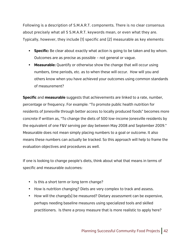Following is a description of S.M.A.R.T. components. There is no clear consensus about precisely what all 5 S.M.A.R.T. keywords mean, or even what they are. Typically, however, they include (1) specific and (2) measurable as key elements:

- **Specific:** Be clear about exactly what action is going to be taken and by whom. Outcomes are as precise as possible – not general or vague.
- **Measurable:** Quantify or otherwise show the change that will occur using numbers, time periods, etc. as to when these will occur. How will you and others know when you have achieved your outcomes using common standards of measurement?

**Specific** and **measurable** suggests that achievements are linked to a rate, number, percentage or frequency. For example: "To promote public health nutrition for residents of Jonesville through better access to locally produced foods" becomes more concrete if written as, "To change the diets of 500 low-income Jonesville residents by the equivalent of one F&V serving per day between May 2008 and September 2009." Measurable does not mean simply placing numbers to a goal or outcome. It also means these numbers can actually be tracked. So this approach will help to frame the evaluation objectives and procedures as well.

If one is looking to change people's diets, think about what that means in terms of specific and measurable outcomes:

- Is this a short term or long term change?
- How is nutrition changing? Diets are very complex to track and assess.
- How will the change(s) be measured? Dietary assessment can be expensive, perhaps needing baseline measures using specialized tools and skilled practitioners. Is there a proxy measure that is more realistic to apply here?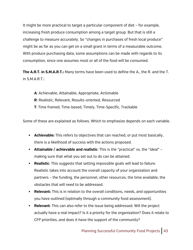It might be more practical to target a particular component of diet – for example, increasing fresh produce consumption among a target group. But that is still a challenge to measure accurately. So "changes in purchases of fresh local produce" might be as far as you can get on a small grant in terms of a measurable outcome. With produce purchasing data, some assumptions can be made with regards to its consumption, since one assumes most or all of the food will be consumed.

**The A.R.T. in S.M.A.R.T.:** Many terms have been used to define the A., the R. and the T. in S.M.A.R.T.:

**A**: Achievable, Attainable, Appropriate, Actionable **R**: Realistic, Relevant, Results-oriented, Resourced **T**: Time framed, Time-based, Timely, Time-Specific, Trackable

Some of these are explained as follows. Which to emphasize depends on each variable.

- **Achievable:** This refers to objectives that can reached, or put most basically, there is a likelihood of success with the actions proposed.
- **Attainable / achievable and realistic**: This is the "practical" vs. the "ideal" making sure that what you set out to do can be attained.
- **Realistic**: This suggests that setting impossible goals will lead to failure. Realistic takes into account the overall capacity of your organization and partners – the funding, the personnel, other resources, the time available, the obstacles that will need to be addressed.
- **Relevant:** This is in relation to the overall conditions, needs, and opportunities you have outlined (optimally through a community food assessment).
- **Relevant**: This can also refer to the issue being addressed. Will the project actually have a real impact? Is it a priority for the organization? Does it relate to CFP priorities, and does it have the support of the community?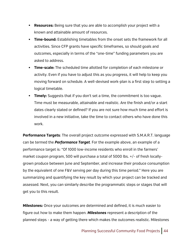- **Resources:** Being sure that you are able to accomplish your project with a known and attainable amount of resources.
- **Time-bound:** Establishing timetables from the onset sets the framework for all activities. Since CFP grants have specific timeframes, so should goals and outcomes, especially in terms of the "one-time" funding parameters you are asked to address.
- **Time-scale:** The scheduled time allotted for completion of each milestone or activity. Even if you have to adjust this as you progress, it will help to keep you moving forward on schedule. A well-devised work-plan is a first step to setting a logical timetable.
- **Timely:** Suggests that if you don't set a time, the commitment is too vague. Time must be measurable, attainable and realistic. Are the finish and/or a start dates clearly stated or defined? If you are not sure how much time and effort is involved in a new initiative, take the time to contact others who have done this work.

**Performance Targets**: The overall project outcome expressed with S.M.A.R.T. language can be termed the *Performance Target.* For the example above, an example of a performance target is: "Of 1000 low-income residents who enroll in the farmers' market coupon program, 500 will purchase a total of 5000 lbs. +/- of fresh locallygrown produce between June and September, and increase their produce consumption by the equivalent of one F&V serving per day during this time period." Here you are summarizing and quantifying the key result by which your project can be tracked and assessed. Next, you can similarly describe the programmatic steps or stages that will get you to this result.

**Milestones:** Once your outcomes are determined and defined, it is much easier to figure out how to make them happen. *Milestones* represent a description of the planned steps - a way of getting there which makes the outcomes realistic. Milestones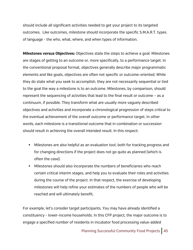should include all significant activities needed to get your project to its targeted outcomes. Like outcomes, milestone should incorporate the specific S.M.A.R.T. types of language - the who, what, where, and when types of information.

**Milestones versus Objectives:** Objectives state the steps to achieve a goal. Milestones are stages of getting to an outcome or, more specifically, to a performance target. In the conventional proposal format, objectives generally describe major programmatic elements and like goals, objectives are often not specific or outcome-oriented. While they do state what you seek to accomplish, they are not necessarily sequential or tied to the goal the way a milestone is to an outcome. Milestones, by comparison, should represent the sequencing of activities that lead to the final result or outcome – as a continuum, if possible. They transform what are usually more vaguely described objectives and activities and incorporate a chronological progression of steps critical to the eventual achievement of the overall outcome or performance target. In other words, each milestone is a transitional outcome that in combination or succession should result in achieving the overall intended result. In this respect:

- Milestones are also helpful as an evaluation tool, both for tracking progress and for changing directions if the project does not go quite as planned (which is often the case).
- Milestones should also incorporate the numbers of beneficiaries who reach certain critical interim stages, and help you to evaluate their roles and activities during the course of the project. In that respect, the exercise of developing milestones will help refine your estimates of the numbers of people who will be reached and will ultimately benefit.

For example, let's consider target participants. You may have already identified a constituency - lower-income households. In this CFP project, the major outcome is to engage a specified number of residents in incubator food processing value-added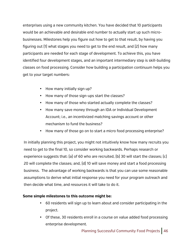enterprises using a new community kitchen. You have decided that 10 participants would be an achievable and desirable end number to actually start up such microbusinesses. Milestones help you figure out how to get to that result, by having you figuring out (1) what stages you need to get to the end result, and (2) how many participants are needed for each stage of development. To achieve this, you have identified four development stages, and an important intermediary step is skill-building classes on food processing. Consider how building a participation continuum helps you get to your target numbers:

- How many initially sign up?
- How many of those sign-ups start the classes?
- How many of those who started actually complete the classes?
- How many save money through an IDA or Individual Development Account; i.e., an incentivized matching savings account or other mechanism to fund the business?
- How many of those go on to start a micro food processing enterprise?

In initially planning this project, you might not intuitively know how many recruits you need to get to the final 10, so consider working backwards. Perhaps research or experience suggests that: (a) of 60 who are recruited, (b) 30 will start the classes; (c) 20 will complete the classes; and, (d) 10 will save money and start a food processing business. The advantage of working backwards is that you can use some reasonable assumptions to derive what initial response you need for your program outreach and then decide what time, and resources it will take to do it.

### **Some simple milestones to this outcome might be:**

- 60 residents will sign up to learn about and consider participating in the project.
- Of these, 30 residents enroll in a course on value added food processing enterprise development.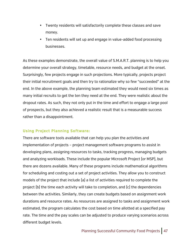- Twenty residents will satisfactorily complete these classes and save money.
- Ten residents will set up and engage in value-added food processing businesses.

As these examples demonstrate, the overall value of S.M.A.R.T. planning is to help you determine your overall strategy, timetable, resource needs, and budget at the onset. Surprisingly, few projects engage in such projections. More typically, projects project their initial recruitment goals and then try to rationalize why so few "succeeded" at the end. In the above example, the planning team estimated they would need six times as many initial recruits to get the ten they need at the end. They were realistic about the dropout rates. As such, they not only put in the time and effort to engage a large pool of prospects, but they also achieved a realistic result that is a measurable success rather than a disappointment.

### **Using Project Planning Software:**

There are software tools available that can help you plan the activities and implementation of projects – project management software programs to assist in developing plans, assigning resources to tasks, tracking progress, managing budgets and analyzing workloads. These include the popular Microsoft Project (or MSP), but there are dozens available. Many of these programs include mathematical algorithms for scheduling and costing out a set of project activities. They allow you to construct models of the project that include (a) a list of activities required to complete the project (b) the time each activity will take to completion, and (c) the dependencies between the activities. Similarly, they can create budgets based on assignment work durations and resource rates. As resources are assigned to tasks and assignment work estimated, the program calculates the cost based on time allotted at a specified pay rate. The time and the pay scales can be adjusted to produce varying scenarios across different budget levels.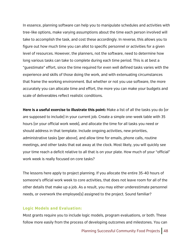In essence, planning software can help you to manipulate schedules and activities with tree-like options, make varying assumptions about the time each person involved will take to accomplish the task, and cost these accordingly. In reverse, this allows you to figure out how much time you can allot to specific personnel or activities for a given level of resources. However, the planners, not the software, need to determine how long various tasks can take to complete during each time period. This is at best a "guestimate" effort, since the time required for even well defined tasks varies with the experience and skills of those doing the work, and with extenuating circumstances that frame the working environment. But whether or not you use software, the more accurately you can allocate time and effort, the more you can make your budgets and scale of deliverables reflect realistic conditions.

**Here is a useful exercise to illustrate this point:** Make a list of all the tasks you do (or are supposed to include) in your current job. Create a simple one-week table with 35 hours (or your official work week), and allocate the time for all tasks you need or should address in that template. Include ongoing activities, new priorities, administrative tasks (per above), and allow time for emails, phone calls, routine meetings, and other tasks that eat away at the clock. Most likely, you will quickly see your time reach a deficit relative to all that is on your plate. How much of your "official" work week is really focused on core tasks?

The lessons here apply to project planning. If you allocate the entire 35-40 hours of someone's official work week to core activities, that does not leave room for all of the other details that make up a job. As a result, you may either underestimate personnel needs, or overwork the employee(s) assigned to the project. Sound familiar?

### **Logic Models and Evaluation:**

Most grants require you to include logic models, program evaluations, or both. These follow more easily from the process of developing outcomes and milestones. You can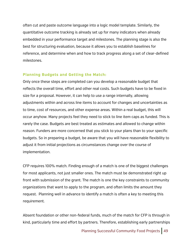often cut and paste outcome language into a logic model template. Similarly, the quantitative outcome tracking is already set up for many indicators when already embedded in your performance target and milestones. The planning stage is also the best for structuring evaluation, because it allows you to establish baselines for reference, and determine when and how to track progress along a set of clear-defined milestones.

#### **Planning Budgets and Getting the Match:**

Only once these steps are completed can you develop a reasonable budget that reflects the overall time, effort and other real costs. Such budgets have to be fixed in size for a proposal. However, it can help to use a range internally, allowing adjustments within and across line items to account for changes and uncertainties as to time, cost of resources, and other expense areas. Within a real budget, this will occur anyhow. Many projects feel they need to stick to line item caps as funded. This is rarely the case. Budgets are best treated as estimates and allowed to change within reason. Funders are more concerned that you stick to your plans than to your specific budgets. So in preparing a budget, be aware that you will have reasonable flexibility to adjust it from initial projections as circumstances change over the course of implementation.

CFP requires 100% match. Finding enough of a match is one of the biggest challenges for most applicants, not just smaller ones. The match must be demonstrated right up front with submission of the grant. The match is one the key constraints to community organizations that want to apply to the program, and often limits the amount they request. Planning well in advance to identify a match is often a key to meeting this requirement.

Absent foundation or other non-federal funds, much of the match for CFP is through in kind, particularly time and effort by partners. Therefore, establishing early partnerships

Planning Successful Community Food Projects | 49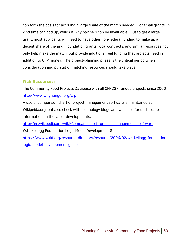can form the basis for accruing a large share of the match needed. For small grants, in kind time can add up, which is why partners can be invaluable. But to get a large grant, most applicants will need to have other non-federal funding to make up a decent share of the ask. Foundation grants, local contracts, and similar resources not only help make the match, but provide additional real funding that projects need in addition to CFP money. The project-planning phase is the critical period when consideration and pursuit of matching resources should take place.

### **Web Resources:**

The Community Food Projects Database with all CFPCGP funded projects since 2000 http://www.whyhunger.org/cfp

A useful comparison chart of project management software is maintained at Wikipeida.org, but also check with technology blogs and websites for up-to-date information on the latest developments.

http://en.wikipedia.org/wiki/Comparison\_of\_project-management\_software W.K. Kellogg Foundation Logic Model Development Guide https://www.wkkf.org/resource-directory/resource/2006/02/wk-kellogg-foundationlogic-model-development-guide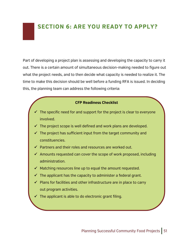### **SECTION 6: ARE YOU READY TO APPLY?**

Part of developing a project plan is assessing and developing the capacity to carry it out. There is a certain amount of simultaneous decision-making needed to figure out what the project needs, and to then decide what capacity is needed to realize it. The time to make this decision should be well before a funding RFA is issued. In deciding this, the planning team can address the following criteria:

### **CFP Readiness Checklist**

- $\checkmark$  The specific need for and support for the project is clear to everyone involved.
- $\checkmark$  The project scope is well defined and work plans are developed.
- $\checkmark$  The project has sufficient input from the target community and constituencies.
- $\checkmark$  Partners and their roles and resources are worked out.
- $\checkmark$  Amounts requested can cover the scope of work proposed, including administration.
- $\checkmark$  Matching resources line up to equal the amount requested.
- $\checkmark$  The applicant has the capacity to administer a federal grant.
- $\checkmark$  Plans for facilities and other infrastructure are in place to carry out program activities.
- $\checkmark$  The applicant is able to do electronic grant filing.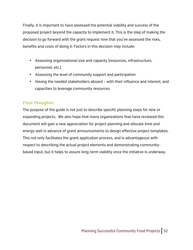Finally, it is important to have assessed the potential viability and success of the proposed project beyond the capacity to implement it. This is the step of making the decision to go forward with the grant request now that you've assessed the risks, benefits and costs of doing it. Factors in this decision may include:

- Assessing organizational size and capacity (resources, infrastructure, personnel, etc.)
- Assessing the level of community support and participation
- Having the needed stakeholders aboard with their influence and interest, and capacities to leverage community resources

### **Final Thoughts:**

The purpose of the guide is not just to describe specific planning steps for new or expanding projects. We also hope that many organizations that have reviewed this document will gain a new appreciation for project planning and allocate time and energy well in advance of grant announcements to design effective project templates. This not only facilitates the grant application process, and is advantageous with respect to describing the actual project elements and demonstrating communitybased input, but it helps to assure long-term viability once the initiative is underway.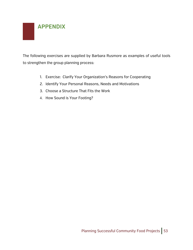

The following exercises are supplied by Barbara Rusmore as examples of useful tools to strengthen the group planning process:

- 1. Exercise: Clarify Your Organization's Reasons for Cooperating
- 2. Identify Your Personal Reasons, Needs and Motivations
- 3. Choose a Structure That Fits the Work
- 4. How Sound is Your Footing?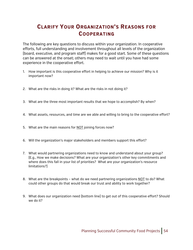### **CLARIFY YOUR ORGANIZATION'S REASONS FOR COOPERATING**

The following are key questions to discuss within your organization. In cooperative efforts, full understanding and involvement throughout all levels of the organization (board, executive, and program staff) makes for a good start. Some of these questions can be answered at the onset; others may need to wait until you have had some experience in the cooperative effort.

- 1. How important is this cooperative effort in helping to achieve our mission? Why is it important now?
- 2. What are the risks in doing it? What are the risks in not doing it?
- 3. What are the three most important results that we hope to accomplish? By when?
- 4. What assets, resources, and time are we able and willing to bring to the cooperative effort?
- 5. What are the main reasons for NOT joining forces now?
- 6. Will the organization's major stakeholders and members support this effort?
- 7. What would partnering organizations need to know and understand about your group? (E.g., How we make decisions? What are your organization's other key commitments and where does this fall in your list of priorities? What are your organization's resource limitations?)
- 8. What are the breakpoints what do we need partnering organizations NOT to do? What could other groups do that would break our trust and ability to work together?
- 9. What does our organization need (bottom line) to get out of this cooperative effort? Should we do it?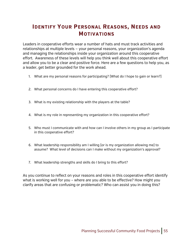### **IDENTIFY YOUR PERSONAL REASONS, NEEDS AND MOTIVATIONS**

Leaders in cooperative efforts wear a number of hats and must track activities and relationships at multiple levels — your personal reasons, your organization's agenda and managing the relationships inside your organization around this cooperative effort. Awareness of these levels will help you think well about this cooperative effort and allow you to be a clear and positive force. Here are a few questions to help you, as a leader, get better grounded for the work ahead.

- 1. What are my personal reasons for participating? (What do I hope to gain or learn?)
- 2. What personal concerns do I have entering this cooperative effort?
- 3. What is my existing relationship with the players at the table?
- 4. What is my role in representing my organization in this cooperative effort?
- 5. Who must I communicate with and how can I involve others in my group as I participate in this cooperative effort?
- 6. What leadership responsibility am I willing (or is my organization allowing me) to assume? What level of decisions can I make without my organization's approval?
- 7. What leadership strengths and skills do I bring to this effort?

As you continue to reflect on your reasons and roles in this cooperative effort identify what is working well for you – where are you able to be effective? How might you clarify areas that are confusing or problematic? Who can assist you in doing this?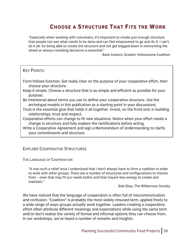### **CHOOSE A STRUCTURE THAT FITS THE WORK**

"Especially when working with volunteers, it's important to create just enough structure that people can see what needs to be done and can feel empowered to go and do it. I can't do it all. So being able to create the structure and not get bogged down in reinventing the wheel or always revisiting decisions is essential."

Barb Cestero, Greater Yellowstone Coalition

### KEY POINTS:

Form follows function. Get really clear on the purpose of your cooperative effort, then choose your structure.

- Keep it simple. Choose a structure that is as simple and efficient as possible for your purpose.
- Be intentional about terms you use to define your cooperative structure. Use the archetypal models in this publication as a starting point in your discussions.
- Trust is the essential glue that holds it all together. Invest, on the front end, in building relationships, trust and respect.
- Cooperative efforts can change to fit new situations. Notice when your effort needs a change in structure and fully explore the ramifications before acting.
- Write a Cooperative Agreement and sign a Memorandum of Understanding to clarify your commitments and structure.

### EXPLORE COOPERATIVE STRUCTURES

THE LANGUAGE OF COOPERATION

"It was such a relief once I understood that I don't always have to form a coalition in order to work with other groups. There are a number of structures and configurations to choose from – ones that may fit our needs better and that require less energy to create and maintain."

Bob Ekey, The Wilderness Society

We have noticed that the language of cooperation is often full of miscommunication and confusion. "Coalition" is probably the most widely misused term, applied freely to a wide range of ways groups actually work together. Leaders creating a cooperative effort often attribute different meanings and expectations while using the same term and/or don't realize the variety of formal and informal options they can choose from. In our workshops, we've heard a number of remarks and insights: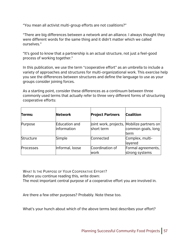"You mean all activist multi-group efforts are not coalitions?"

"There are big differences between a network and an alliance. I always thought they were different words for the same thing and it didn't matter which we called ourselves."

"It's good to know that a partnership is an actual structure, not just a feel-good process of working together."

In this publication, we use the term "cooperative effort" as an umbrella to include a variety of approaches and structures for multi-organizational work. This exercise help you see the differences between structures and define the language to use as your groups consider joining forces.

As a starting point, consider these differences as a continuum between three commonly used terms that actually refer to three very different forms of structuring cooperative efforts:

| Terms:           | <b>Network</b>                      | <b>Project Partners</b> | <b>Coalition</b>                                                         |
|------------------|-------------------------------------|-------------------------|--------------------------------------------------------------------------|
| Purpose          | Education and<br><b>information</b> | short term              | Joint work, projects, Mobilize partners on<br>common goals, long<br>term |
| Structure        | Simple                              | Connected               | Complex, multi-<br>layered                                               |
| <b>Processes</b> | Informal, loose                     | Coordination of<br>work | Formal agreements,<br>strong systems                                     |

WHAT IS THE PURPOSE OF YOUR COOPERATIVE EFFORT? Before you continue reading this, write down: The most important central purpose of a cooperative effort you are involved in.

Are there a few other purposes? Probably. Note these too.

What's your hunch about which of the above terms best describes your effort?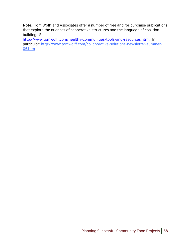**Note**: Tom Wolff and Associates offer a number of free and for purchase publications that explore the nuances of cooperative structures and the language of coalitionbuilding. See:

http://www.tomwolff.com/healthy-communities-tools-and-resources.html. In particular: http://www.tomwolff.com/collaborative-solutions-newsletter-summer-05.htm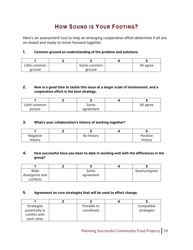### **HOW SOUND IS YOUR FOOTING?**

Here's an assessment tool to help an emerging cooperative effort determine if all are on-board and ready to move forward together.

### **1. Common ground on understanding of the problem and solutions.**

| Little common | Some common | All agree |
|---------------|-------------|-----------|
| around        | around      |           |

### **2. Now is a good time to tackle this issue at a larger scale of involvement, and a cooperative effort is the best strategy.**

| Little common | Some      | All agree |
|---------------|-----------|-----------|
| picture       | agreement |           |

### **3. What's your collaboration's history of working together?**

| Negative | No history | Positive |
|----------|------------|----------|
| history  |            | history  |

### **4. How successful have you been to date in working well with the differences in the group?**

| Wide           | Some      | Good progress |
|----------------|-----------|---------------|
| divergence and | agreement |               |
| conflicts      |           |               |

#### **5. Agreement on core strategies that will be used to effect change.**

| <b>Strategies</b> | Possible to | Compatible |
|-------------------|-------------|------------|
| potentially in    | coordinate  | strategies |
| conflict with     |             |            |
| each other        |             |            |